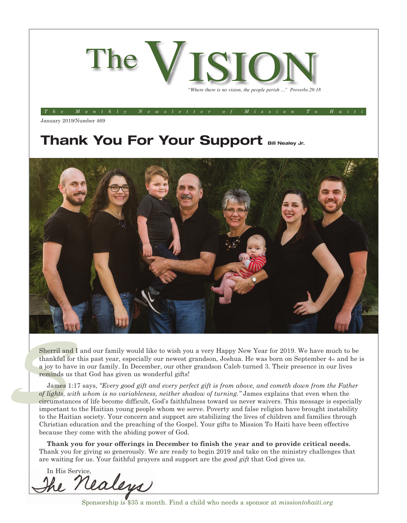

*The Monthly Newsletter of Mission To Haiti*

January 2019/Number 469

## **Thank You For Your Support Bill Nealey Jr.**



**Sherril and I**<br>thankful for<br>a joy to have<br>reminds us t<br>James 1:1<br>*James 1:1*<br>*of lights, wit.*<br>circumstance Sherril and I and our family would like to wish you a very Happy New Year for 2019. We have much to be thankful for this past year, especially our newest grandson, Joshua. He was born on September 4th and he is a joy to have in our family. In December, our other grandson Caleb turned 3. Their presence in our lives reminds us that God has given us wonderful gifts!

James 1:17 says, *"Every good gift and every perfect gift is from above, and cometh down from the Father of lights, with whom is no variableness, neither shadow of turning."* James explains that even when the circumstances of life become difficult, God's faithfulness toward us never waivers. This message is especially important to the Haitian young people whom we serve. Poverty and false religion have brought instability to the Haitian society. Your concern and support are stabilizing the lives of children and families through Christian education and the preaching of the Gospel. Your gifts to Mission To Haiti have been effective because they come with the abiding power of God.

**Thank you for your offerings in December to finish the year and to provide critical needs.** Thank you for giving so generously. We are ready to begin 2019 and take on the ministry challenges that are waiting for us. Your faithful prayers and support are the *good gift* that God gives us.

In His Service,Va

Sponsorship is \$35 a month. Find a child who needs a sponsor at *missiontohaiti.org*